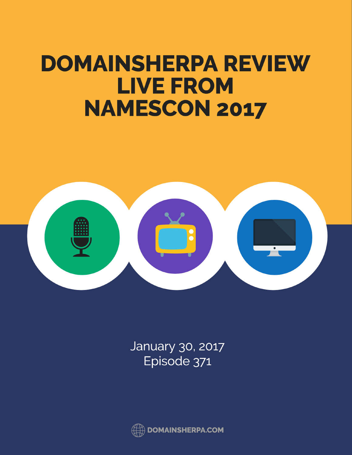## **DOMAINSHERPA REVIEW** LIVE FROM NAMESCON 2017



January 30, 2017<br>Episode 371

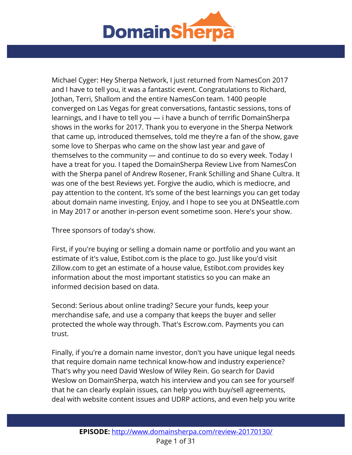

Michael Cyger: Hey Sherpa Network, I just returned from NamesCon 2017 and I have to tell you, it was a fantastic event. Congratulations to Richard, Jothan, Terri, Shallom and the entire NamesCon team. 1400 people converged on Las Vegas for great conversations, fantastic sessions, tons of learnings, and I have to tell you — i have a bunch of terrific DomainSherpa shows in the works for 2017. Thank you to everyone in the Sherpa Network that came up, introduced themselves, told me they're a fan of the show, gave some love to Sherpas who came on the show last year and gave of themselves to the community — and continue to do so every week. Today I have a treat for you. I taped the DomainSherpa Review Live from NamesCon with the Sherpa panel of Andrew Rosener, Frank Schilling and Shane Cultra. It was one of the best Reviews yet. Forgive the audio, which is mediocre, and pay attention to the content. It's some of the best learnings you can get today about domain name investing. Enjoy, and I hope to see you at DNSeattle.com in May 2017 or another in-person event sometime soon. Here's your show.

Three sponsors of today's show.

First, if you're buying or selling a domain name or portfolio and you want an estimate of it's value, Estibot.com is the place to go. Just like you'd visit Zillow.com to get an estimate of a house value, Estibot.com provides key information about the most important statistics so you can make an informed decision based on data.

Second: Serious about online trading? Secure your funds, keep your merchandise safe, and use a company that keeps the buyer and seller protected the whole way through. That's Escrow.com. Payments you can trust.

Finally, if you're a domain name investor, don't you have unique legal needs that require domain name technical know-how and industry experience? That's why you need David Weslow of Wiley Rein. Go search for David Weslow on DomainSherpa, watch his interview and you can see for yourself that he can clearly explain issues, can help you with buy/sell agreements, deal with website content issues and UDRP actions, and even help you write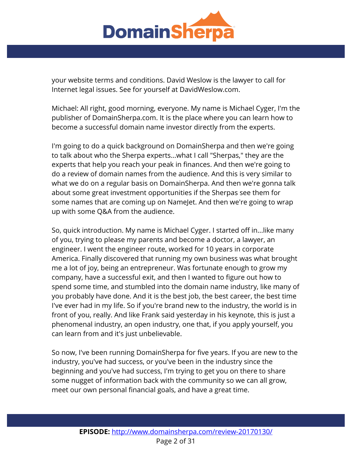

your website terms and conditions. David Weslow is the lawyer to call for Internet legal issues. See for yourself at DavidWeslow.com.

Michael: All right, good morning, everyone. My name is Michael Cyger, I'm the publisher of DomainSherpa.com. It is the place where you can learn how to become a successful domain name investor directly from the experts.

I'm going to do a quick background on DomainSherpa and then we're going to talk about who the Sherpa experts...what I call "Sherpas," they are the experts that help you reach your peak in finances. And then we're going to do a review of domain names from the audience. And this is very similar to what we do on a regular basis on DomainSherpa. And then we're gonna talk about some great investment opportunities if the Sherpas see them for some names that are coming up on NameJet. And then we're going to wrap up with some Q&A from the audience.

So, quick introduction. My name is Michael Cyger. I started off in...like many of you, trying to please my parents and become a doctor, a lawyer, an engineer. I went the engineer route, worked for 10 years in corporate America. Finally discovered that running my own business was what brought me a lot of joy, being an entrepreneur. Was fortunate enough to grow my company, have a successful exit, and then I wanted to figure out how to spend some time, and stumbled into the domain name industry, like many of you probably have done. And it is the best job, the best career, the best time I've ever had in my life. So if you're brand new to the industry, the world is in front of you, really. And like Frank said yesterday in his keynote, this is just a phenomenal industry, an open industry, one that, if you apply yourself, you can learn from and it's just unbelievable.

So now, I've been running DomainSherpa for five years. If you are new to the industry, you've had success, or you've been in the industry since the beginning and you've had success, I'm trying to get you on there to share some nugget of information back with the community so we can all grow, meet our own personal financial goals, and have a great time.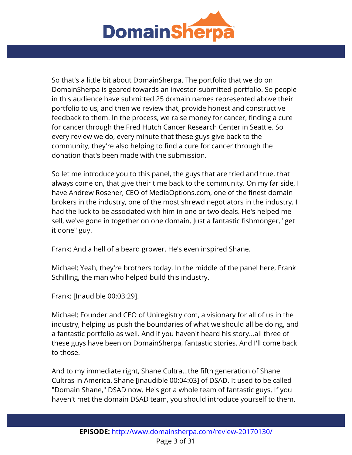

So that's a little bit about DomainSherpa. The portfolio that we do on DomainSherpa is geared towards an investor-submitted portfolio. So people in this audience have submitted 25 domain names represented above their portfolio to us, and then we review that, provide honest and constructive feedback to them. In the process, we raise money for cancer, finding a cure for cancer through the Fred Hutch Cancer Research Center in Seattle. So every review we do, every minute that these guys give back to the community, they're also helping to find a cure for cancer through the donation that's been made with the submission.

So let me introduce you to this panel, the guys that are tried and true, that always come on, that give their time back to the community. On my far side, I have Andrew Rosener, CEO of MediaOptions.com, one of the finest domain brokers in the industry, one of the most shrewd negotiators in the industry. I had the luck to be associated with him in one or two deals. He's helped me sell, we've gone in together on one domain. Just a fantastic fishmonger, "get it done" guy.

Frank: And a hell of a beard grower. He's even inspired Shane.

Michael: Yeah, they're brothers today. In the middle of the panel here, Frank Schilling, the man who helped build this industry.

Frank: [Inaudible 00:03:29].

Michael: Founder and CEO of Uniregistry.com, a visionary for all of us in the industry, helping us push the boundaries of what we should all be doing, and a fantastic portfolio as well. And if you haven't heard his story...all three of these guys have been on DomainSherpa, fantastic stories. And I'll come back to those.

And to my immediate right, Shane Cultra...the fifth generation of Shane Cultras in America. Shane [inaudible 00:04:03] of DSAD. It used to be called "Domain Shane," DSAD now. He's got a whole team of fantastic guys. If you haven't met the domain DSAD team, you should introduce yourself to them.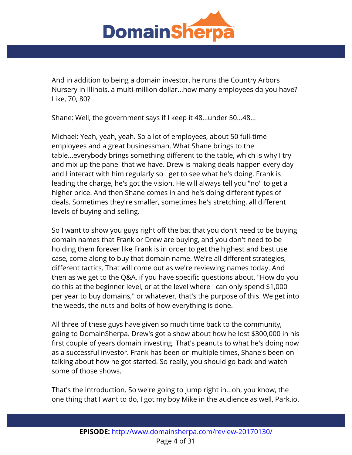

And in addition to being a domain investor, he runs the Country Arbors Nursery in Illinois, a multi-million dollar...how many employees do you have? Like, 70, 80?

Shane: Well, the government says if I keep it 48...under 50...48...

Michael: Yeah, yeah, yeah. So a lot of employees, about 50 full-time employees and a great businessman. What Shane brings to the table...everybody brings something different to the table, which is why I try and mix up the panel that we have. Drew is making deals happen every day and I interact with him regularly so I get to see what he's doing. Frank is leading the charge, he's got the vision. He will always tell you "no" to get a higher price. And then Shane comes in and he's doing different types of deals. Sometimes they're smaller, sometimes he's stretching, all different levels of buying and selling.

So I want to show you guys right off the bat that you don't need to be buying domain names that Frank or Drew are buying, and you don't need to be holding them forever like Frank is in order to get the highest and best use case, come along to buy that domain name. We're all different strategies, different tactics. That will come out as we're reviewing names today. And then as we get to the Q&A, if you have specific questions about, "How do you do this at the beginner level, or at the level where I can only spend \$1,000 per year to buy domains," or whatever, that's the purpose of this. We get into the weeds, the nuts and bolts of how everything is done.

All three of these guys have given so much time back to the community, going to DomainSherpa. Drew's got a show about how he lost \$300,000 in his first couple of years domain investing. That's peanuts to what he's doing now as a successful investor. Frank has been on multiple times, Shane's been on talking about how he got started. So really, you should go back and watch some of those shows.

That's the introduction. So we're going to jump right in...oh, you know, the one thing that I want to do, I got my boy Mike in the audience as well, Park.io.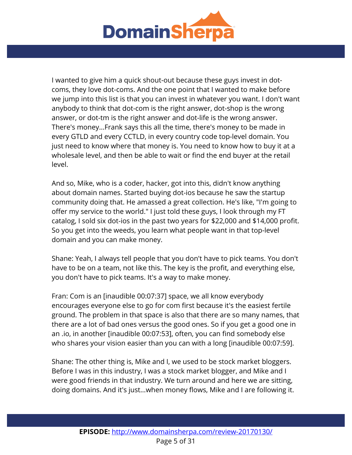

I wanted to give him a quick shout-out because these guys invest in dotcoms, they love dot-coms. And the one point that I wanted to make before we jump into this list is that you can invest in whatever you want. I don't want anybody to think that dot-com is the right answer, dot-shop is the wrong answer, or dot-tm is the right answer and dot-life is the wrong answer. There's money...Frank says this all the time, there's money to be made in every GTLD and every CCTLD, in every country code top-level domain. You just need to know where that money is. You need to know how to buy it at a wholesale level, and then be able to wait or find the end buyer at the retail level.

And so, Mike, who is a coder, hacker, got into this, didn't know anything about domain names. Started buying dot-ios because he saw the startup community doing that. He amassed a great collection. He's like, "I'm going to offer my service to the world." I just told these guys, I look through my FT catalog, I sold six dot-ios in the past two years for \$22,000 and \$14,000 profit. So you get into the weeds, you learn what people want in that top-level domain and you can make money.

Shane: Yeah, I always tell people that you don't have to pick teams. You don't have to be on a team, not like this. The key is the profit, and everything else, you don't have to pick teams. It's a way to make money.

Fran: Com is an [inaudible 00:07:37] space, we all know everybody encourages everyone else to go for com first because it's the easiest fertile ground. The problem in that space is also that there are so many names, that there are a lot of bad ones versus the good ones. So if you get a good one in an .io, in another [inaudible 00:07:53], often, you can find somebody else who shares your vision easier than you can with a long [inaudible 00:07:59].

Shane: The other thing is, Mike and I, we used to be stock market bloggers. Before I was in this industry, I was a stock market blogger, and Mike and I were good friends in that industry. We turn around and here we are sitting, doing domains. And it's just...when money flows, Mike and I are following it.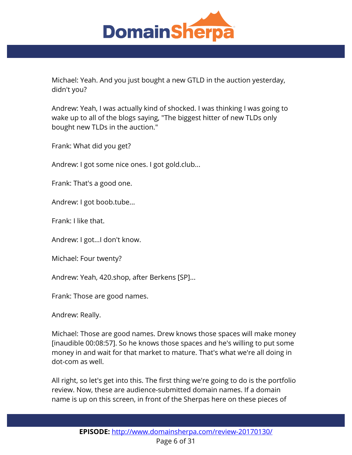

Michael: Yeah. And you just bought a new GTLD in the auction yesterday, didn't you?

Andrew: Yeah, I was actually kind of shocked. I was thinking I was going to wake up to all of the blogs saying, "The biggest hitter of new TLDs only bought new TLDs in the auction."

Frank: What did you get?

Andrew: I got some nice ones. I got gold.club...

Frank: That's a good one.

Andrew: I got boob.tube...

Frank: I like that.

Andrew: I got...I don't know.

Michael: Four twenty?

Andrew: Yeah, 420.shop, after Berkens [SP]...

Frank: Those are good names.

Andrew: Really.

Michael: Those are good names. Drew knows those spaces will make money [inaudible 00:08:57]. So he knows those spaces and he's willing to put some money in and wait for that market to mature. That's what we're all doing in dot-com as well.

All right, so let's get into this. The first thing we're going to do is the portfolio review. Now, these are audience-submitted domain names. If a domain name is up on this screen, in front of the Sherpas here on these pieces of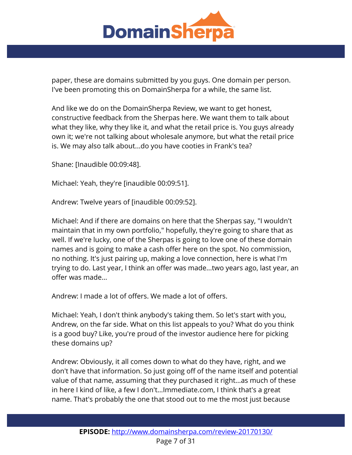

paper, these are domains submitted by you guys. One domain per person. I've been promoting this on DomainSherpa for a while, the same list.

And like we do on the DomainSherpa Review, we want to get honest, constructive feedback from the Sherpas here. We want them to talk about what they like, why they like it, and what the retail price is. You guys already own it; we're not talking about wholesale anymore, but what the retail price is. We may also talk about...do you have cooties in Frank's tea?

Shane: [Inaudible 00:09:48].

Michael: Yeah, they're [inaudible 00:09:51].

Andrew: Twelve years of [inaudible 00:09:52].

Michael: And if there are domains on here that the Sherpas say, "I wouldn't maintain that in my own portfolio," hopefully, they're going to share that as well. If we're lucky, one of the Sherpas is going to love one of these domain names and is going to make a cash offer here on the spot. No commission, no nothing. It's just pairing up, making a love connection, here is what I'm trying to do. Last year, I think an offer was made...two years ago, last year, an offer was made...

Andrew: I made a lot of offers. We made a lot of offers.

Michael: Yeah, I don't think anybody's taking them. So let's start with you, Andrew, on the far side. What on this list appeals to you? What do you think is a good buy? Like, you're proud of the investor audience here for picking these domains up?

Andrew: Obviously, it all comes down to what do they have, right, and we don't have that information. So just going off of the name itself and potential value of that name, assuming that they purchased it right...as much of these in here I kind of like, a few I don't...Immediate.com, I think that's a great name. That's probably the one that stood out to me the most just because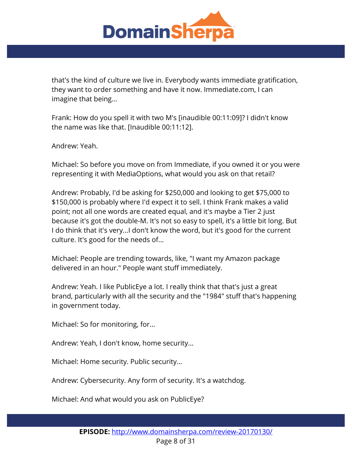

that's the kind of culture we live in. Everybody wants immediate gratification, they want to order something and have it now. Immediate.com, I can imagine that being...

Frank: How do you spell it with two M's [inaudible 00:11:09]? I didn't know the name was like that. [Inaudible 00:11:12].

Andrew: Yeah.

Michael: So before you move on from Immediate, if you owned it or you were representing it with MediaOptions, what would you ask on that retail?

Andrew: Probably, I'd be asking for \$250,000 and looking to get \$75,000 to \$150,000 is probably where I'd expect it to sell. I think Frank makes a valid point; not all one words are created equal, and it's maybe a Tier 2 just because it's got the double-M. It's not so easy to spell, it's a little bit long. But I do think that it's very...I don't know the word, but it's good for the current culture. It's good for the needs of...

Michael: People are trending towards, like, "I want my Amazon package delivered in an hour." People want stuff immediately.

Andrew: Yeah. I like PublicEye a lot. I really think that that's just a great brand, particularly with all the security and the "1984" stuff that's happening in government today.

Michael: So for monitoring, for...

Andrew: Yeah, I don't know, home security...

Michael: Home security. Public security...

Andrew: Cybersecurity. Any form of security. It's a watchdog.

Michael: And what would you ask on PublicEye?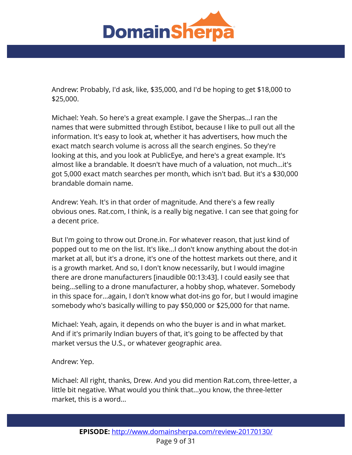

Andrew: Probably, I'd ask, like, \$35,000, and I'd be hoping to get \$18,000 to \$25,000.

Michael: Yeah. So here's a great example. I gave the Sherpas...I ran the names that were submitted through Estibot, because I like to pull out all the information. It's easy to look at, whether it has advertisers, how much the exact match search volume is across all the search engines. So they're looking at this, and you look at PublicEye, and here's a great example. It's almost like a brandable. It doesn't have much of a valuation, not much...it's got 5,000 exact match searches per month, which isn't bad. But it's a \$30,000 brandable domain name.

Andrew: Yeah. It's in that order of magnitude. And there's a few really obvious ones. Rat.com, I think, is a really big negative. I can see that going for a decent price.

But I'm going to throw out Drone.in. For whatever reason, that just kind of popped out to me on the list. It's like...I don't know anything about the dot-in market at all, but it's a drone, it's one of the hottest markets out there, and it is a growth market. And so, I don't know necessarily, but I would imagine there are drone manufacturers [inaudible 00:13:43]. I could easily see that being...selling to a drone manufacturer, a hobby shop, whatever. Somebody in this space for...again, I don't know what dot-ins go for, but I would imagine somebody who's basically willing to pay \$50,000 or \$25,000 for that name.

Michael: Yeah, again, it depends on who the buyer is and in what market. And if it's primarily Indian buyers of that, it's going to be affected by that market versus the U.S., or whatever geographic area.

Andrew: Yep.

Michael: All right, thanks, Drew. And you did mention Rat.com, three-letter, a little bit negative. What would you think that...you know, the three-letter market, this is a word...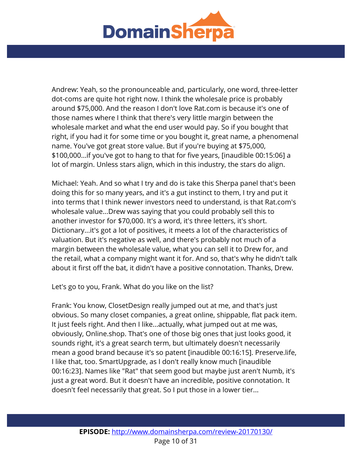

Andrew: Yeah, so the pronounceable and, particularly, one word, three-letter dot-coms are quite hot right now. I think the wholesale price is probably around \$75,000. And the reason I don't love Rat.com is because it's one of those names where I think that there's very little margin between the wholesale market and what the end user would pay. So if you bought that right, if you had it for some time or you bought it, great name, a phenomenal name. You've got great store value. But if you're buying at \$75,000, \$100,000...if you've got to hang to that for five years, [inaudible 00:15:06] a lot of margin. Unless stars align, which in this industry, the stars do align.

Michael: Yeah. And so what I try and do is take this Sherpa panel that's been doing this for so many years, and it's a gut instinct to them, I try and put it into terms that I think newer investors need to understand, is that Rat.com's wholesale value...Drew was saying that you could probably sell this to another investor for \$70,000. It's a word, it's three letters, it's short. Dictionary...it's got a lot of positives, it meets a lot of the characteristics of valuation. But it's negative as well, and there's probably not much of a margin between the wholesale value, what you can sell it to Drew for, and the retail, what a company might want it for. And so, that's why he didn't talk about it first off the bat, it didn't have a positive connotation. Thanks, Drew.

Let's go to you, Frank. What do you like on the list?

Frank: You know, ClosetDesign really jumped out at me, and that's just obvious. So many closet companies, a great online, shippable, flat pack item. It just feels right. And then I like...actually, what jumped out at me was, obviously, Online.shop. That's one of those big ones that just looks good, it sounds right, it's a great search term, but ultimately doesn't necessarily mean a good brand because it's so patent [inaudible 00:16:15]. Preserve.life, I like that, too. SmartUpgrade, as I don't really know much [inaudible 00:16:23]. Names like "Rat" that seem good but maybe just aren't Numb, it's just a great word. But it doesn't have an incredible, positive connotation. It doesn't feel necessarily that great. So I put those in a lower tier...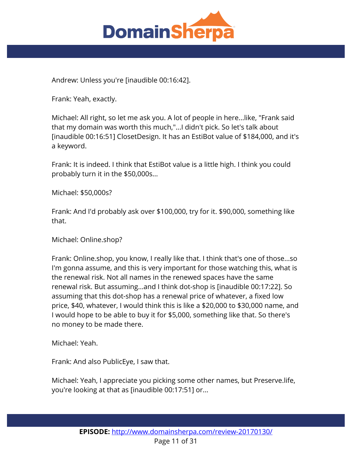

Andrew: Unless you're [inaudible 00:16:42].

Frank: Yeah, exactly.

Michael: All right, so let me ask you. A lot of people in here...like, "Frank said that my domain was worth this much,"...I didn't pick. So let's talk about [inaudible 00:16:51] ClosetDesign. It has an EstiBot value of \$184,000, and it's a keyword.

Frank: It is indeed. I think that EstiBot value is a little high. I think you could probably turn it in the \$50,000s...

Michael: \$50,000s?

Frank: And I'd probably ask over \$100,000, try for it. \$90,000, something like that.

Michael: Online.shop?

Frank: Online.shop, you know, I really like that. I think that's one of those...so I'm gonna assume, and this is very important for those watching this, what is the renewal risk. Not all names in the renewed spaces have the same renewal risk. But assuming...and I think dot-shop is [inaudible 00:17:22]. So assuming that this dot-shop has a renewal price of whatever, a fixed low price, \$40, whatever, I would think this is like a \$20,000 to \$30,000 name, and I would hope to be able to buy it for \$5,000, something like that. So there's no money to be made there.

Michael: Yeah.

Frank: And also PublicEye, I saw that.

Michael: Yeah, I appreciate you picking some other names, but Preserve.life, you're looking at that as [inaudible 00:17:51] or...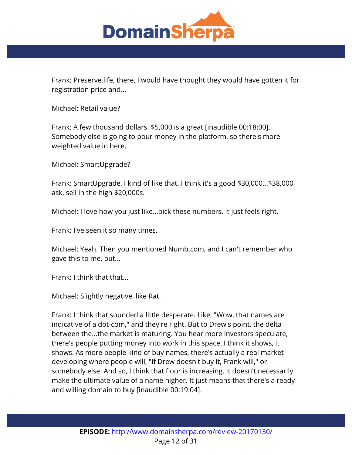

Frank: Preserve.life, there, I would have thought they would have gotten it for registration price and...

Michael: Retail value?

Frank: A few thousand dollars. \$5,000 is a great [inaudible 00:18:00]. Somebody else is going to pour money in the platform, so there's more weighted value in here.

Michael: SmartUpgrade?

Frank: SmartUpgrade, I kind of like that. I think it's a good \$30,000...\$38,000 ask, sell in the high \$20,000s.

Michael: I love how you just like...pick these numbers. It just feels right.

Frank: I've seen it so many times.

Michael: Yeah. Then you mentioned Numb.com, and I can't remember who gave this to me, but...

Frank: I think that that...

Michael: Slightly negative, like Rat.

Frank: I think that sounded a little desperate. Like, "Wow, that names are indicative of a dot-com," and they're right. But to Drew's point, the delta between the...the market is maturing. You hear more investors speculate, there's people putting money into work in this space. I think it shows, it shows. As more people kind of buy names, there's actually a real market developing where people will, "If Drew doesn't buy it, Frank will," or somebody else. And so, I think that floor is increasing. It doesn't necessarily make the ultimate value of a name higher. It just means that there's a ready and willing domain to buy [inaudible 00:19:04].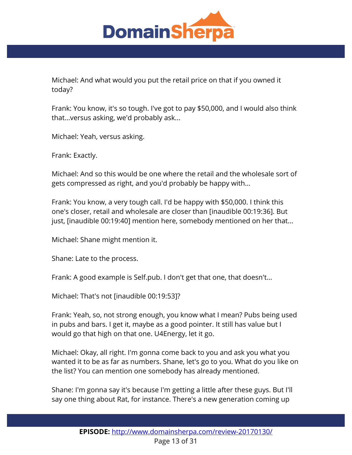

Michael: And what would you put the retail price on that if you owned it today?

Frank: You know, it's so tough. I've got to pay \$50,000, and I would also think that...versus asking, we'd probably ask...

Michael: Yeah, versus asking.

Frank: Exactly.

Michael: And so this would be one where the retail and the wholesale sort of gets compressed as right, and you'd probably be happy with...

Frank: You know, a very tough call. I'd be happy with \$50,000. I think this one's closer, retail and wholesale are closer than [inaudible 00:19:36]. But just, [inaudible 00:19:40] mention here, somebody mentioned on her that...

Michael: Shane might mention it.

Shane: Late to the process.

Frank: A good example is Self.pub. I don't get that one, that doesn't...

Michael: That's not [inaudible 00:19:53]?

Frank: Yeah, so, not strong enough, you know what I mean? Pubs being used in pubs and bars. I get it, maybe as a good pointer. It still has value but I would go that high on that one. U4Energy, let it go.

Michael: Okay, all right. I'm gonna come back to you and ask you what you wanted it to be as far as numbers. Shane, let's go to you. What do you like on the list? You can mention one somebody has already mentioned.

Shane: I'm gonna say it's because I'm getting a little after these guys. But I'll say one thing about Rat, for instance. There's a new generation coming up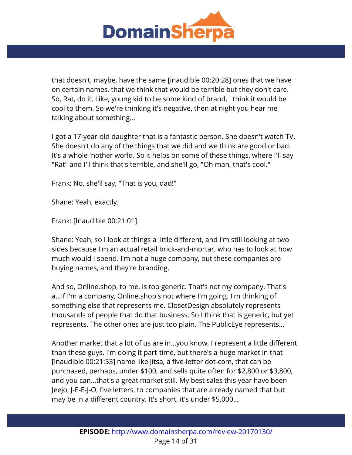

that doesn't, maybe, have the same [inaudible 00:20:28] ones that we have on certain names, that we think that would be terrible but they don't care. So, Rat, do it. Like, young kid to be some kind of brand, I think it would be cool to them. So we're thinking it's negative, then at night you hear me talking about something...

I got a 17-year-old daughter that is a fantastic person. She doesn't watch TV. She doesn't do any of the things that we did and we think are good or bad. It's a whole 'nother world. So it helps on some of these things, where I'll say "Rat" and I'll think that's terrible, and she'll go, "Oh man, that's cool."

Frank: No, she'll say, "That is you, dad!"

Shane: Yeah, exactly.

Frank: [Inaudible 00:21:01].

Shane: Yeah, so I look at things a little different, and I'm still looking at two sides because I'm an actual retail brick-and-mortar, who has to look at how much would I spend. I'm not a huge company, but these companies are buying names, and they're branding.

And so, Online.shop, to me, is too generic. That's not my company. That's a...if I'm a company, Online.shop's not where I'm going. I'm thinking of something else that represents me. ClosetDesign absolutely represents thousands of people that do that business. So I think that is generic, but yet represents. The other ones are just too plain. The PublicEye represents...

Another market that a lot of us are in...you know, I represent a little different than these guys. I'm doing it part-time, but there's a huge market in that [inaudible 00:21:53] name like Jitsa, a five-letter dot-com, that can be purchased, perhaps, under \$100, and sells quite often for \$2,800 or \$3,800, and you can...that's a great market still. My best sales this year have been Jeejo, J-E-E-J-O, five letters, to companies that are already named that but may be in a different country. It's short, it's under \$5,000...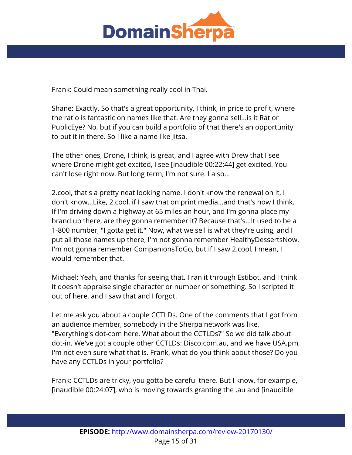

Frank: Could mean something really cool in Thai.

Shane: Exactly. So that's a great opportunity, I think, in price to profit, where the ratio is fantastic on names like that. Are they gonna sell...is it Rat or PublicEye? No, but if you can build a portfolio of that there's an opportunity to put it in there. So I like a name like Jitsa.

The other ones, Drone, I think, is great, and I agree with Drew that I see where Drone might get excited, I see [inaudible 00:22:44] get excited. You can't lose right now. But long term, I'm not sure. I also...

2.cool, that's a pretty neat looking name. I don't know the renewal on it, I don't know...Like, 2.cool, if I saw that on print media...and that's how I think. If I'm driving down a highway at 65 miles an hour, and I'm gonna place my brand up there, are they gonna remember it? Because that's...It used to be a 1-800 number, "I gotta get it." Now, what we sell is what they're using, and I put all those names up there, I'm not gonna remember HealthyDessertsNow, I'm not gonna remember CompanionsToGo, but if I saw 2.cool, I mean, I would remember that.

Michael: Yeah, and thanks for seeing that. I ran it through Estibot, and I think it doesn't appraise single character or number or something. So I scripted it out of here, and I saw that and I forgot.

Let me ask you about a couple CCTLDs. One of the comments that I got from an audience member, somebody in the Sherpa network was like, "Everything's dot-com here. What about the CCTLDs?" So we did talk about dot-in. We've got a couple other CCTLDs: Disco.com.au, and we have USA.pm, I'm not even sure what that is. Frank, what do you think about those? Do you have any CCTLDs in your portfolio?

Frank: CCTLDs are tricky, you gotta be careful there. But I know, for example, [inaudible 00:24:07], who is moving towards granting the .au and [inaudible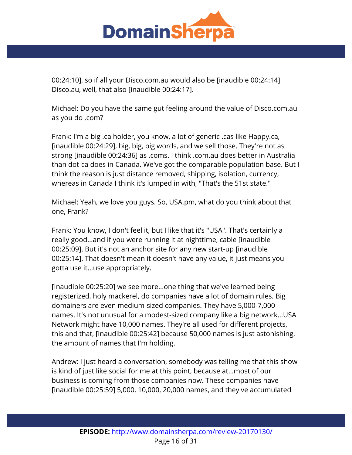

00:24:10], so if all your Disco.com.au would also be [inaudible 00:24:14] Disco.au, well, that also [inaudible 00:24:17].

Michael: Do you have the same gut feeling around the value of Disco.com.au as you do .com?

Frank: I'm a big .ca holder, you know, a lot of generic .cas like Happy.ca, [inaudible 00:24:29], big, big, big words, and we sell those. They're not as strong [inaudible 00:24:36] as .coms. I think .com.au does better in Australia than dot-ca does in Canada. We've got the comparable population base. But I think the reason is just distance removed, shipping, isolation, currency, whereas in Canada I think it's lumped in with, "That's the 51st state."

Michael: Yeah, we love you guys. So, USA.pm, what do you think about that one, Frank?

Frank: You know, I don't feel it, but I like that it's "USA". That's certainly a really good...and if you were running it at nighttime, cable [inaudible 00:25:09]. But it's not an anchor site for any new start-up [inaudible 00:25:14]. That doesn't mean it doesn't have any value, it just means you gotta use it...use appropriately.

[Inaudible 00:25:20] we see more...one thing that we've learned being registerized, holy mackerel, do companies have a lot of domain rules. Big domainers are even medium-sized companies. They have 5,000-7,000 names. It's not unusual for a modest-sized company like a big network...USA Network might have 10,000 names. They're all used for different projects, this and that, [inaudible 00:25:42] because 50,000 names is just astonishing, the amount of names that I'm holding.

Andrew: I just heard a conversation, somebody was telling me that this show is kind of just like social for me at this point, because at...most of our business is coming from those companies now. These companies have [inaudible 00:25:59] 5,000, 10,000, 20,000 names, and they've accumulated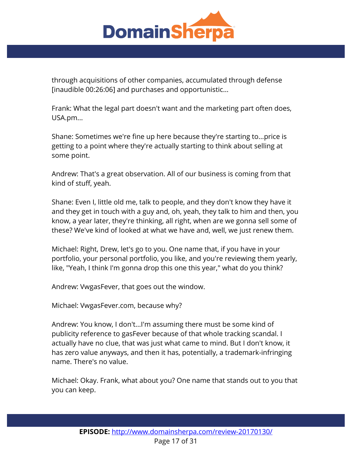

through acquisitions of other companies, accumulated through defense [inaudible 00:26:06] and purchases and opportunistic...

Frank: What the legal part doesn't want and the marketing part often does, USA.pm...

Shane: Sometimes we're fine up here because they're starting to...price is getting to a point where they're actually starting to think about selling at some point.

Andrew: That's a great observation. All of our business is coming from that kind of stuff, yeah.

Shane: Even I, little old me, talk to people, and they don't know they have it and they get in touch with a guy and, oh, yeah, they talk to him and then, you know, a year later, they're thinking, all right, when are we gonna sell some of these? We've kind of looked at what we have and, well, we just renew them.

Michael: Right, Drew, let's go to you. One name that, if you have in your portfolio, your personal portfolio, you like, and you're reviewing them yearly, like, "Yeah, I think I'm gonna drop this one this year," what do you think?

Andrew: VwgasFever, that goes out the window.

Michael: VwgasFever.com, because why?

Andrew: You know, I don't...I'm assuming there must be some kind of publicity reference to gasFever because of that whole tracking scandal. I actually have no clue, that was just what came to mind. But I don't know, it has zero value anyways, and then it has, potentially, a trademark-infringing name. There's no value.

Michael: Okay. Frank, what about you? One name that stands out to you that you can keep.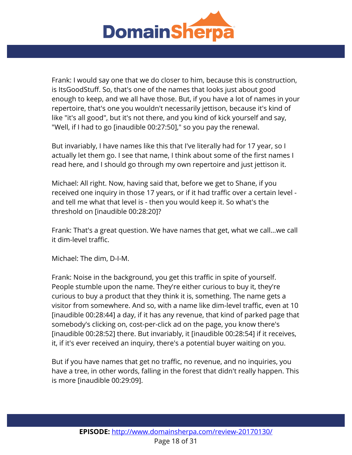

Frank: I would say one that we do closer to him, because this is construction, is ItsGoodStuff. So, that's one of the names that looks just about good enough to keep, and we all have those. But, if you have a lot of names in your repertoire, that's one you wouldn't necessarily jettison, because it's kind of like "it's all good", but it's not there, and you kind of kick yourself and say, "Well, if I had to go [inaudible 00:27:50]," so you pay the renewal.

But invariably, I have names like this that I've literally had for 17 year, so I actually let them go. I see that name, I think about some of the first names I read here, and I should go through my own repertoire and just jettison it.

Michael: All right. Now, having said that, before we get to Shane, if you received one inquiry in those 17 years, or if it had traffic over a certain level and tell me what that level is - then you would keep it. So what's the threshold on [inaudible 00:28:20]?

Frank: That's a great question. We have names that get, what we call...we call it dim-level traffic.

Michael: The dim, D-I-M.

Frank: Noise in the background, you get this traffic in spite of yourself. People stumble upon the name. They're either curious to buy it, they're curious to buy a product that they think it is, something. The name gets a visitor from somewhere. And so, with a name like dim-level traffic, even at 10 [inaudible 00:28:44] a day, if it has any revenue, that kind of parked page that somebody's clicking on, cost-per-click ad on the page, you know there's [inaudible 00:28:52] there. But invariably, it [inaudible 00:28:54] if it receives, it, if it's ever received an inquiry, there's a potential buyer waiting on you.

But if you have names that get no traffic, no revenue, and no inquiries, you have a tree, in other words, falling in the forest that didn't really happen. This is more [inaudible 00:29:09].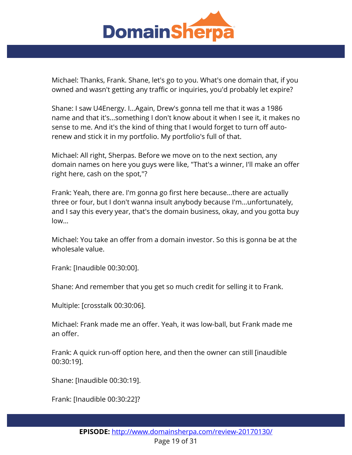

Michael: Thanks, Frank. Shane, let's go to you. What's one domain that, if you owned and wasn't getting any traffic or inquiries, you'd probably let expire?

Shane: I saw U4Energy. I...Again, Drew's gonna tell me that it was a 1986 name and that it's...something I don't know about it when I see it, it makes no sense to me. And it's the kind of thing that I would forget to turn off autorenew and stick it in my portfolio. My portfolio's full of that.

Michael: All right, Sherpas. Before we move on to the next section, any domain names on here you guys were like, "That's a winner, I'll make an offer right here, cash on the spot,"?

Frank: Yeah, there are. I'm gonna go first here because...there are actually three or four, but I don't wanna insult anybody because I'm...unfortunately, and I say this every year, that's the domain business, okay, and you gotta buy low...

Michael: You take an offer from a domain investor. So this is gonna be at the wholesale value.

Frank: [Inaudible 00:30:00].

Shane: And remember that you get so much credit for selling it to Frank.

Multiple: [crosstalk 00:30:06].

Michael: Frank made me an offer. Yeah, it was low-ball, but Frank made me an offer.

Frank: A quick run-off option here, and then the owner can still [inaudible 00:30:19].

Shane: [Inaudible 00:30:19].

Frank: [Inaudible 00:30:22]?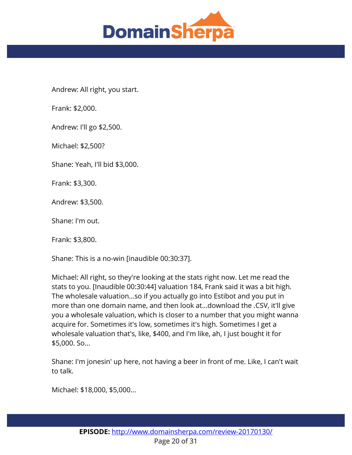

Andrew: All right, you start.

Frank: \$2,000.

Andrew: I'll go \$2,500.

Michael: \$2,500?

Shane: Yeah, I'll bid \$3,000.

Frank: \$3,300.

Andrew: \$3,500.

Shane: I'm out.

Frank: \$3,800.

Shane: This is a no-win [inaudible 00:30:37].

Michael: All right, so they're looking at the stats right now. Let me read the stats to you. [Inaudible 00:30:44] valuation 184, Frank said it was a bit high. The wholesale valuation...so if you actually go into Estibot and you put in more than one domain name, and then look at...download the .CSV, it'll give you a wholesale valuation, which is closer to a number that you might wanna acquire for. Sometimes it's low, sometimes it's high. Sometimes I get a wholesale valuation that's, like, \$400, and I'm like, ah, I just bought it for \$5,000. So...

Shane: I'm jonesin' up here, not having a beer in front of me. Like, I can't wait to talk.

Michael: \$18,000, \$5,000...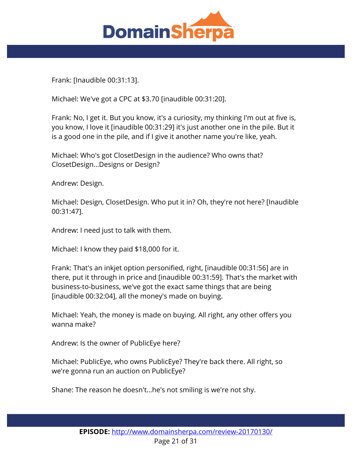

Frank: [Inaudible 00:31:13].

Michael: We've got a CPC at \$3.70 [inaudible 00:31:20].

Frank: No, I get it. But you know, it's a curiosity, my thinking I'm out at five is, you know, I love it [inaudible 00:31:29] it's just another one in the pile. But it is a good one in the pile, and if I give it another name you're like, yeah.

Michael: Who's got ClosetDesign in the audience? Who owns that? ClosetDesign...Designs or Design?

Andrew: Design.

Michael: Design, ClosetDesign. Who put it in? Oh, they're not here? [Inaudible 00:31:47].

Andrew: I need just to talk with them.

Michael: I know they paid \$18,000 for it.

Frank: That's an inkjet option personified, right, [inaudible 00:31:56] are in there, put it through in price and [inaudible 00:31:59]. That's the market with business-to-business, we've got the exact same things that are being [inaudible 00:32:04], all the money's made on buying.

Michael: Yeah, the money is made on buying. All right, any other offers you wanna make?

Andrew: Is the owner of PublicEye here?

Michael: PublicEye, who owns PublicEye? They're back there. All right, so we're gonna run an auction on PublicEye?

Shane: The reason he doesn't...he's not smiling is we're not shy.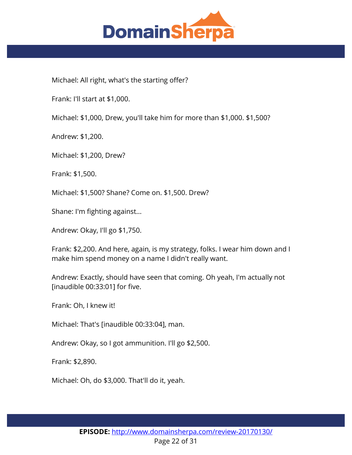

Michael: All right, what's the starting offer?

Frank: I'll start at \$1,000.

Michael: \$1,000, Drew, you'll take him for more than \$1,000. \$1,500?

Andrew: \$1,200.

Michael: \$1,200, Drew?

Frank: \$1,500.

Michael: \$1,500? Shane? Come on. \$1,500. Drew?

Shane: I'm fighting against...

Andrew: Okay, I'll go \$1,750.

Frank: \$2,200. And here, again, is my strategy, folks. I wear him down and I make him spend money on a name I didn't really want.

Andrew: Exactly, should have seen that coming. Oh yeah, I'm actually not [inaudible 00:33:01] for five.

Frank: Oh, I knew it!

Michael: That's [inaudible 00:33:04], man.

Andrew: Okay, so I got ammunition. I'll go \$2,500.

Frank: \$2,890.

Michael: Oh, do \$3,000. That'll do it, yeah.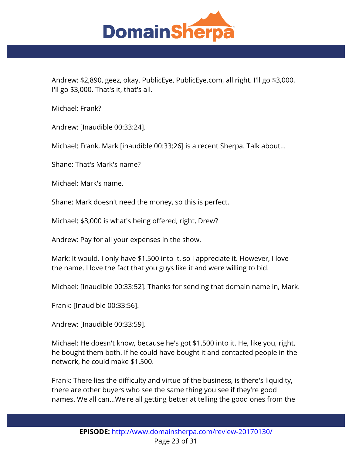

Andrew: \$2,890, geez, okay. PublicEye, PublicEye.com, all right. I'll go \$3,000, I'll go \$3,000. That's it, that's all.

Michael: Frank?

Andrew: [Inaudible 00:33:24].

Michael: Frank, Mark [inaudible 00:33:26] is a recent Sherpa. Talk about...

Shane: That's Mark's name?

Michael: Mark's name.

Shane: Mark doesn't need the money, so this is perfect.

Michael: \$3,000 is what's being offered, right, Drew?

Andrew: Pay for all your expenses in the show.

Mark: It would. I only have \$1,500 into it, so I appreciate it. However, I love the name. I love the fact that you guys like it and were willing to bid.

Michael: [Inaudible 00:33:52]. Thanks for sending that domain name in, Mark.

Frank: [Inaudible 00:33:56].

Andrew: [Inaudible 00:33:59].

Michael: He doesn't know, because he's got \$1,500 into it. He, like you, right, he bought them both. If he could have bought it and contacted people in the network, he could make \$1,500.

Frank: There lies the difficulty and virtue of the business, is there's liquidity, there are other buyers who see the same thing you see if they're good names. We all can...We're all getting better at telling the good ones from the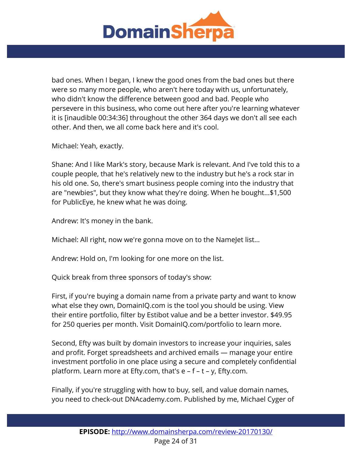

bad ones. When I began, I knew the good ones from the bad ones but there were so many more people, who aren't here today with us, unfortunately, who didn't know the difference between good and bad. People who persevere in this business, who come out here after you're learning whatever it is [inaudible 00:34:36] throughout the other 364 days we don't all see each other. And then, we all come back here and it's cool.

Michael: Yeah, exactly.

Shane: And I like Mark's story, because Mark is relevant. And I've told this to a couple people, that he's relatively new to the industry but he's a rock star in his old one. So, there's smart business people coming into the industry that are "newbies", but they know what they're doing. When he bought...\$1,500 for PublicEye, he knew what he was doing.

Andrew: It's money in the bank.

Michael: All right, now we're gonna move on to the NameJet list...

Andrew: Hold on, I'm looking for one more on the list.

Quick break from three sponsors of today's show:

First, if you're buying a domain name from a private party and want to know what else they own, DomainIQ.com is the tool you should be using. View their entire portfolio, filter by Estibot value and be a better investor. \$49.95 for 250 queries per month. Visit DomainIQ.com/portfolio to learn more.

Second, Efty was built by domain investors to increase your inquiries, sales and profit. Forget spreadsheets and archived emails — manage your entire investment portfolio in one place using a secure and completely confidential platform. Learn more at Efty.com, that's e – f – t – y, Efty.com.

Finally, if you're struggling with how to buy, sell, and value domain names, you need to check-out DNAcademy.com. Published by me, Michael Cyger of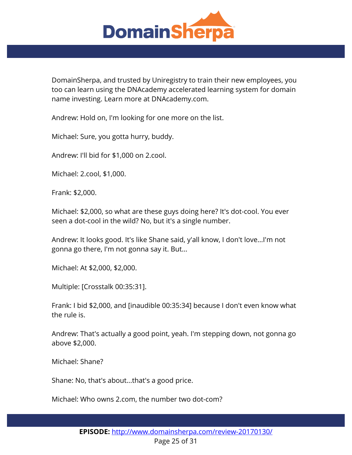

DomainSherpa, and trusted by Uniregistry to train their new employees, you too can learn using the DNAcademy accelerated learning system for domain name investing. Learn more at DNAcademy.com.

Andrew: Hold on, I'm looking for one more on the list.

Michael: Sure, you gotta hurry, buddy.

Andrew: I'll bid for \$1,000 on 2.cool.

Michael: 2.cool, \$1,000.

Frank: \$2,000.

Michael: \$2,000, so what are these guys doing here? It's dot-cool. You ever seen a dot-cool in the wild? No, but it's a single number.

Andrew: It looks good. It's like Shane said, y'all know, I don't love...I'm not gonna go there, I'm not gonna say it. But...

Michael: At \$2,000, \$2,000.

Multiple: [Crosstalk 00:35:31].

Frank: I bid \$2,000, and [inaudible 00:35:34] because I don't even know what the rule is.

Andrew: That's actually a good point, yeah. I'm stepping down, not gonna go above \$2,000.

Michael: Shane?

Shane: No, that's about...that's a good price.

Michael: Who owns 2.com, the number two dot-com?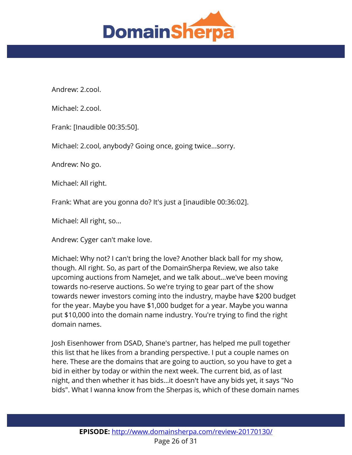

Andrew: 2.cool.

Michael: 2.cool.

Frank: [Inaudible 00:35:50].

Michael: 2.cool, anybody? Going once, going twice...sorry.

Andrew: No go.

Michael: All right.

Frank: What are you gonna do? It's just a [inaudible 00:36:02].

Michael: All right, so...

Andrew: Cyger can't make love.

Michael: Why not? I can't bring the love? Another black ball for my show, though. All right. So, as part of the DomainSherpa Review, we also take upcoming auctions from NameJet, and we talk about...we've been moving towards no-reserve auctions. So we're trying to gear part of the show towards newer investors coming into the industry, maybe have \$200 budget for the year. Maybe you have \$1,000 budget for a year. Maybe you wanna put \$10,000 into the domain name industry. You're trying to find the right domain names.

Josh Eisenhower from DSAD, Shane's partner, has helped me pull together this list that he likes from a branding perspective. I put a couple names on here. These are the domains that are going to auction, so you have to get a bid in either by today or within the next week. The current bid, as of last night, and then whether it has bids...it doesn't have any bids yet, it says "No bids". What I wanna know from the Sherpas is, which of these domain names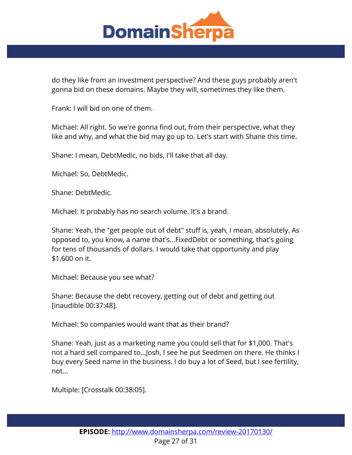

do they like from an investment perspective? And these guys probably aren't gonna bid on these domains. Maybe they will, sometimes they like them.

Frank: I will bid on one of them.

Michael: All right. So we're gonna find out, from their perspective, what they like and why, and what the bid may go up to. Let's start with Shane this time.

Shane: I mean, DebtMedic, no bids, I'll take that all day.

Michael: So, DebtMedic.

Shane: DebtMedic.

Michael: It probably has no search volume. It's a brand.

Shane: Yeah, the "get people out of debt" stuff is, yeah, I mean, absolutely. As opposed to, you know, a name that's...FixedDebt or something, that's going for tens of thousands of dollars. I would take that opportunity and play \$1,600 on it.

Michael: Because you see what?

Shane: Because the debt recovery, getting out of debt and getting out [inaudible 00:37:48].

Michael: So companies would want that as their brand?

Shane: Yeah, just as a marketing name you could sell that for \$1,000. That's not a hard sell compared to...Josh, I see he put Seedmen on there. He thinks I buy every Seed name in the business. I do buy a lot of Seed, but I see fertility, not...

Multiple: [Crosstalk 00:38:05].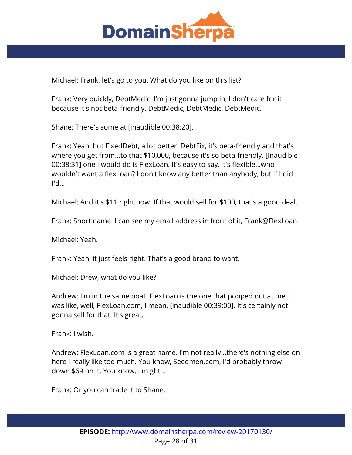

Michael: Frank, let's go to you. What do you like on this list?

Frank: Very quickly, DebtMedic, I'm just gonna jump in, I don't care for it because it's not beta-friendly. DebtMedic, DebtMedic, DebtMedic.

Shane: There's some at [inaudible 00:38:20].

Frank: Yeah, but FixedDebt, a lot better. DebtFix, it's beta-friendly and that's where you get from...to that \$10,000, because it's so beta-friendly. [Inaudible 00:38:31] one I would do is FlexLoan. It's easy to say, it's flexible...who wouldn't want a flex loan? I don't know any better than anybody, but if I did I'd...

Michael: And it's \$11 right now. If that would sell for \$100, that's a good deal.

Frank: Short name. I can see my email address in front of it, Frank@FlexLoan.

Michael: Yeah.

Frank: Yeah, it just feels right. That's a good brand to want.

Michael: Drew, what do you like?

Andrew: I'm in the same boat. FlexLoan is the one that popped out at me. I was like, well, FlexLoan.com, I mean, [inaudible 00:39:00]. It's certainly not gonna sell for that. It's great.

Frank: I wish.

Andrew: FlexLoan.com is a great name. I'm not really...there's nothing else on here I really like too much. You know, Seedmen.com, I'd probably throw down \$69 on it. You know, I might...

Frank: Or you can trade it to Shane.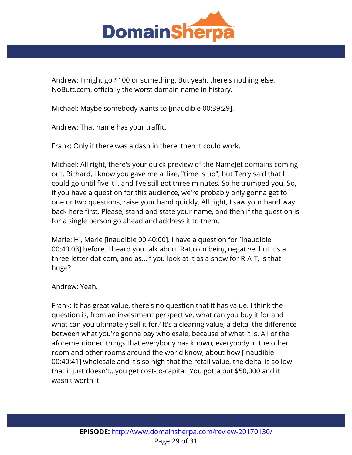

Andrew: I might go \$100 or something. But yeah, there's nothing else. NoButt.com, officially the worst domain name in history.

Michael: Maybe somebody wants to [inaudible 00:39:29].

Andrew: That name has your traffic.

Frank: Only if there was a dash in there, then it could work.

Michael: All right, there's your quick preview of the NameJet domains coming out. Richard, I know you gave me a, like, "time is up", but Terry said that I could go until five 'til, and I've still got three minutes. So he trumped you. So, if you have a question for this audience, we're probably only gonna get to one or two questions, raise your hand quickly. All right, I saw your hand way back here first. Please, stand and state your name, and then if the question is for a single person go ahead and address it to them.

Marie: Hi, Marie [inaudible 00:40:00]. I have a question for [inaudible 00:40:03] before. I heard you talk about Rat.com being negative, but it's a three-letter dot-com, and as...if you look at it as a show for R-A-T, is that huge?

Andrew: Yeah.

Frank: It has great value, there's no question that it has value. I think the question is, from an investment perspective, what can you buy it for and what can you ultimately sell it for? It's a clearing value, a delta, the difference between what you're gonna pay wholesale, because of what it is. All of the aforementioned things that everybody has known, everybody in the other room and other rooms around the world know, about how [inaudible 00:40:41] wholesale and it's so high that the retail value, the delta, is so low that it just doesn't...you get cost-to-capital. You gotta put \$50,000 and it wasn't worth it.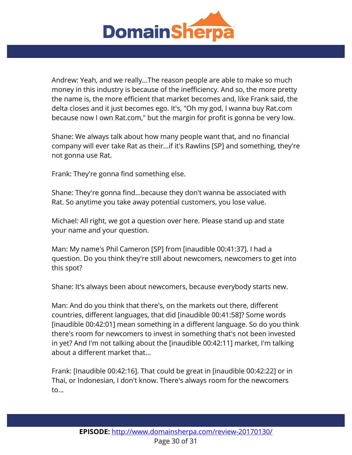

Andrew: Yeah, and we really...The reason people are able to make so much money in this industry is because of the inefficiency. And so, the more pretty the name is, the more efficient that market becomes and, like Frank said, the delta closes and it just becomes ego. It's, "Oh my god, I wanna buy Rat.com because now I own Rat.com," but the margin for profit is gonna be very low.

Shane: We always talk about how many people want that, and no financial company will ever take Rat as their...if it's Rawlins [SP] and something, they're not gonna use Rat.

Frank: They're gonna find something else.

Shane: They're gonna find...because they don't wanna be associated with Rat. So anytime you take away potential customers, you lose value.

Michael: All right, we got a question over here. Please stand up and state your name and your question.

Man: My name's Phil Cameron [SP] from [inaudible 00:41:37]. I had a question. Do you think they're still about newcomers, newcomers to get into this spot?

Shane: It's always been about newcomers, because everybody starts new.

Man: And do you think that there's, on the markets out there, different countries, different languages, that did [inaudible 00:41:58]? Some words [inaudible 00:42:01] mean something in a different language. So do you think there's room for newcomers to invest in something that's not been invested in yet? And I'm not talking about the [inaudible 00:42:11] market, I'm talking about a different market that...

Frank: [Inaudible 00:42:16]. That could be great in [inaudible 00:42:22] or in Thai, or Indonesian, I don't know. There's always room for the newcomers to...